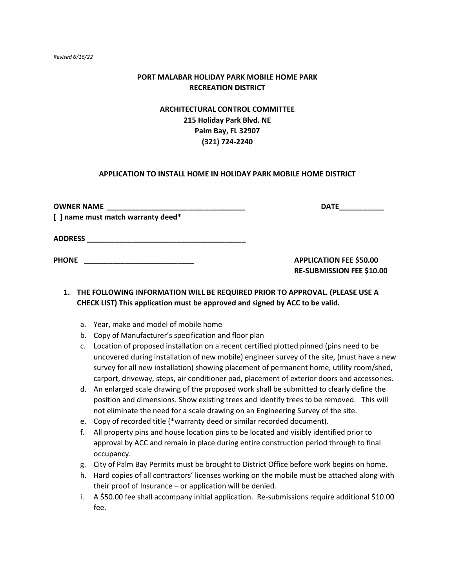*Revised 6/16/22*

### **PORT MALABAR HOLIDAY PARK MOBILE HOME PARK RECREATION DISTRICT**

# **ARCHITECTURAL CONTROL COMMITTEE 215 Holiday Park Blvd. NE Palm Bay, FL 32907 (321) 724-2240**

#### **APPLICATION TO INSTALL HOME IN HOLIDAY PARK MOBILE HOME DISTRICT**

| <b>OWNER NAME</b><br>the control of the control of the control of the control of the control of the control of the control of the control of the control of the control of the control of the control of the control of the control of the control | <b>DATE</b>                                                        |
|----------------------------------------------------------------------------------------------------------------------------------------------------------------------------------------------------------------------------------------------------|--------------------------------------------------------------------|
| [] name must match warranty deed*                                                                                                                                                                                                                  |                                                                    |
| <b>ADDRESS</b><br><u> 1989 - Johann Stein, marwolaethau a bhann an t-Amhain an t-Amhain an t-Amhain an t-Amhain an t-Amhain an t-Amh</u>                                                                                                           |                                                                    |
| <b>PHONE</b>                                                                                                                                                                                                                                       | <b>APPLICATION FEE \$50.00</b><br><b>RE-SUBMISSION FEE \$10.00</b> |

- **1. THE FOLLOWING INFORMATION WILL BE REQUIRED PRIOR TO APPROVAL. (PLEASE USE A CHECK LIST) This application must be approved and signed by ACC to be valid.**
	- a. Year, make and model of mobile home
	- b. Copy of Manufacturer's specification and floor plan
	- c. Location of proposed installation on a recent certified plotted pinned (pins need to be uncovered during installation of new mobile) engineer survey of the site, (must have a new survey for all new installation) showing placement of permanent home, utility room/shed, carport, driveway, steps, air conditioner pad, placement of exterior doors and accessories.
	- d. An enlarged scale drawing of the proposed work shall be submitted to clearly define the position and dimensions. Show existing trees and identify trees to be removed. This will not eliminate the need for a scale drawing on an Engineering Survey of the site.
	- e. Copy of recorded title (\*warranty deed or similar recorded document).
	- f. All property pins and house location pins to be located and visibly identified prior to approval by ACC and remain in place during entire construction period through to final occupancy.
	- g. City of Palm Bay Permits must be brought to District Office before work begins on home.
	- h. Hard copies of all contractors' licenses working on the mobile must be attached along with their proof of Insurance – or application will be denied.
	- i. A \$50.00 fee shall accompany initial application. Re-submissions require additional \$10.00 fee.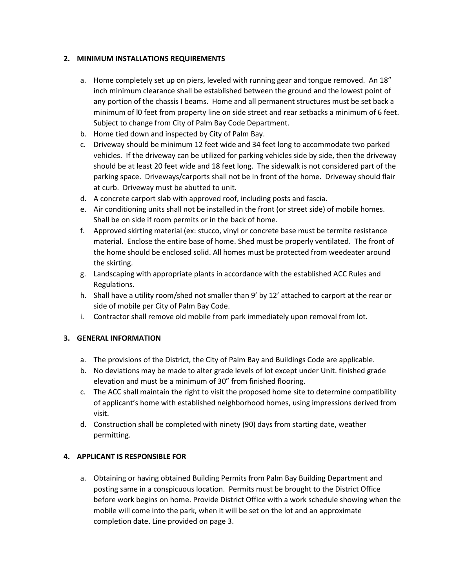#### **2. MINIMUM INSTALLATIONS REQUIREMENTS**

- a. Home completely set up on piers, leveled with running gear and tongue removed. An 18" inch minimum clearance shall be established between the ground and the lowest point of any portion of the chassis I beams. Home and all permanent structures must be set back a minimum of l0 feet from property line on side street and rear setbacks a minimum of 6 feet. Subject to change from City of Palm Bay Code Department.
- b. Home tied down and inspected by City of Palm Bay.
- c. Driveway should be minimum 12 feet wide and 34 feet long to accommodate two parked vehicles. If the driveway can be utilized for parking vehicles side by side, then the driveway should be at least 20 feet wide and 18 feet long. The sidewalk is not considered part of the parking space. Driveways/carports shall not be in front of the home. Driveway should flair at curb. Driveway must be abutted to unit.
- d. A concrete carport slab with approved roof, including posts and fascia.
- e. Air conditioning units shall not be installed in the front (or street side) of mobile homes. Shall be on side if room permits or in the back of home.
- f. Approved skirting material (ex: stucco, vinyl or concrete base must be termite resistance material. Enclose the entire base of home. Shed must be properly ventilated. The front of the home should be enclosed solid. All homes must be protected from weedeater around the skirting.
- g. Landscaping with appropriate plants in accordance with the established ACC Rules and Regulations.
- h. Shall have a utility room/shed not smaller than 9' by 12' attached to carport at the rear or side of mobile per City of Palm Bay Code.
- i. Contractor shall remove old mobile from park immediately upon removal from lot.

### **3. GENERAL INFORMATION**

- a. The provisions of the District, the City of Palm Bay and Buildings Code are applicable.
- b. No deviations may be made to alter grade levels of lot except under Unit. finished grade elevation and must be a minimum of 30" from finished flooring.
- c. The ACC shall maintain the right to visit the proposed home site to determine compatibility of applicant's home with established neighborhood homes, using impressions derived from visit.
- d. Construction shall be completed with ninety (90) days from starting date, weather permitting.

### **4. APPLICANT IS RESPONSIBLE FOR**

a. Obtaining or having obtained Building Permits from Palm Bay Building Department and posting same in a conspicuous location. Permits must be brought to the District Office before work begins on home. Provide District Office with a work schedule showing when the mobile will come into the park, when it will be set on the lot and an approximate completion date. Line provided on page 3.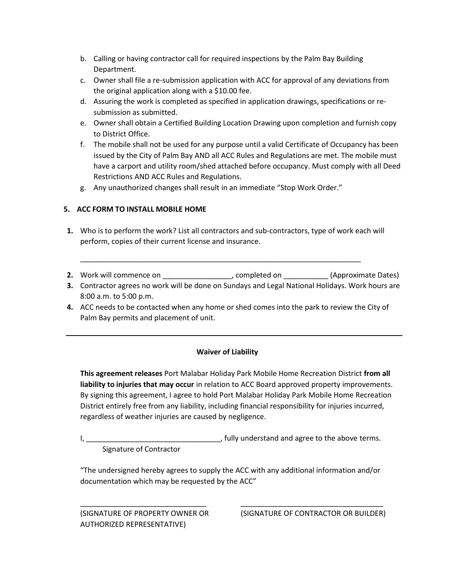- b. Calling or having contractor call for required inspections by the Palm Bay Building Department.
- c. Owner shall file a re-submission application with ACC for approval of any deviations from the original application along with a \$10.00 fee.
- d. Assuring the work is completed as specified in application drawings, specifications or resubmission as submitted.
- e. Owner shall obtain a Certified Building Location Drawing upon completion and furnish copy to District Office.
- f. The mobile shall not be used for any purpose until a valid Certificate of Occupancy has been issued by the City of Palm Bay AND all ACC Rules and Regulations are met. The mobile must have a carport and utility room/shed attached before occupancy. Must comply with all Deed Restrictions AND ACC Rules and Regulations.
- g. Any unauthorized changes shall result in an immediate "Stop Work Order."

## **5. ACC FORM TO INSTALL MOBILE HOME**

- **1.** Who is to perform the work? List all contractors and sub-contractors, type of work each will perform, copies of their current license and insurance.
- \_\_\_\_\_\_\_\_\_\_\_\_\_\_\_\_\_\_\_\_\_\_\_\_\_\_\_\_\_\_\_\_\_\_\_\_\_\_\_\_\_\_\_\_\_\_\_\_\_\_\_\_\_\_\_\_\_\_\_\_\_\_\_\_\_\_\_\_\_
- **2.** Work will commence on  $\qquad \qquad$ , completed on  $\qquad \qquad$  (Approximate Dates) **3.** Contractor agrees no work will be done on Sundays and Legal National Holidays. Work hours are
- 8:00 a.m. to 5:00 p.m.
- **4.** ACC needs to be contacted when any home or shed comes into the park to review the City of Palm Bay permits and placement of unit.

### **Waiver of Liability**

**This agreement releases** Port Malabar Holiday Park Mobile Home Recreation District **from all liability to injuries that may occur** in relation to ACC Board approved property improvements. By signing this agreement, I agree to hold Port Malabar Holiday Park Mobile Home Recreation District entirely free from any liability, including financial responsibility for injuries incurred, regardless of weather injuries are caused by negligence.

I, \_\_\_\_\_\_\_\_\_\_\_\_\_\_\_\_\_\_\_\_\_\_\_\_\_\_\_\_\_\_\_\_\_, fully understand and agree to the above terms. Signature of Contractor

"The undersigned hereby agrees to supply the ACC with any additional information and/or documentation which may be requested by the ACC"

\_\_\_\_\_\_\_\_\_\_\_\_\_\_\_\_\_\_\_\_\_\_\_\_\_\_\_\_\_\_\_ \_\_\_\_\_\_\_\_\_\_\_\_\_\_\_\_\_\_\_\_\_\_\_\_\_\_\_\_\_\_\_\_\_\_\_

AUTHORIZED REPRESENTATIVE)

(SIGNATURE OF PROPERTY OWNER OR (SIGNATURE OF CONTRACTOR OR BUILDER)